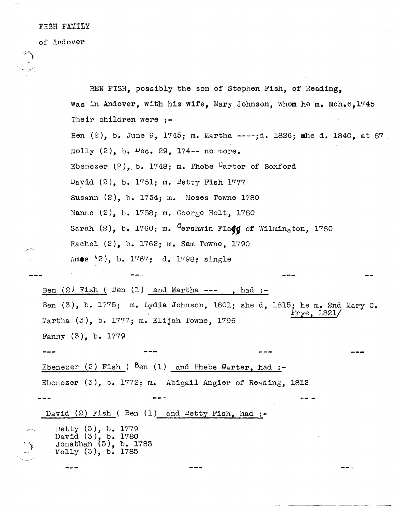## FISH FAMILY

of Andover

BEN FISH, possibly the son of Stephen Fish, of Reading, was in Andover, with his wife, Mary Johnson, whom he m. Mch.6,1745 Their children were :-Ben (2), b. June 9, 1745; m. Martha ----;d. 1826; mhe d. 1840, at 87 Molly  $(2)$ , b.  $\nu$ ec. 29, 174-- no more. Ebenezer  $(2)$ , b. 1748; m. Phebe <sup>C</sup>arter of Boxford David (2), b. 1751; m. Betty Fish 1777 Susann (2), b. 1754; m. Moses Towne 1780 Nanne (2), b. 1758; m. George Holt, 1780 Sarah (2), b. 1760; m. <sup>G</sup>ershwin Fla**dd** of Wilmington, 1780 Rachel (2), b. 1762; m. Sam Towne, 1790 Amos '2), b. 1767; d. 1798; single Ben  $(2)$  Fish  $($  Ben  $(1)$  and Martha --- , had :-Ben  $(3)$ , b. 1775; m. Lydia Johnson, 1801; she d. 1815; he m. 2nd Mary C. Frye, 1821/ Martha  $(3)$ , b. 1777; m. Elijah Towne, 1796 Fanny (3), b. 1779 Ebenezer (2) Fish (  $Ben(1)$  and Phebe  $Qarter$ , had :-Ebenezer (3), b. 1772; m. Abigail Angier of Reading, 1812 David  $(2)$  Fish ( Ben  $(1)$  and Betty Fish, had :-Betty (3), b. 1779 David (3), b. 1780 Jonathan (3), b. 1783 Molly (3), b. 1785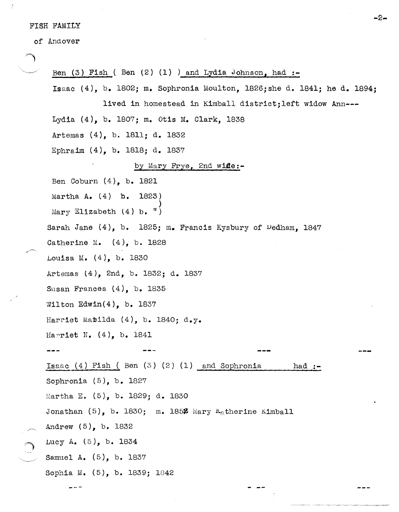## FISH FAMILY

of Andover

Ben  $(3)$  Fish  $($  Ben  $(2)$   $(1)$   $)$  and Lydia Johnson, had :-Isaac (4), b. 1802; m. Sophronia Moulton, 1826;she d. 1841; he d. 1894; lived in homestead in Kimball district;left widow Ann--- Lydia (4), b. 1807; m. Otis M. Clark, 1838 Artemas (4), b. 1811; d. 1832 Ephraim (4), b. 1818; d. 1837 by Mary Frye, 2nd wife:-Ben Coburn (4), b. 1821 Martha A. (4) h. 1823) ) Mary Elizabeth  $(4)$  b.  $\binom{n}{k}$ Sarah Jane  $(4)$ , b. 1825; m. Francis Kysbury of Dedham, 1847 Catherine M. (4), b. 1828 Louisa M. (4), b. 1830 Artemas (4), 2nd, b. 1832; d. 1837 Susan Frances (4), b. 1835 Wilton Edwin $(4)$ , b. 1837 Harriet Matilda  $(4)$ , b. 1840; d.y. Harriet N.  $(4)$ , b. 1841 Isaac (4) Fish ( Ben (3) (2) (1) and Sophronia Sophronia (5), b. 1827 Martha E. (5), b. 1829; d. 1830 Jonathan  $(5)$ , b. 1830; m. 1852 Mary K<sub>a</sub>therine Kimball Andrew (5), b. 1832 LUCY A. (5), b. 1834 Samuel A. (5), b. 1837 Sophia M. (5), b. 1839; 1842 had: $-$ 

-2-